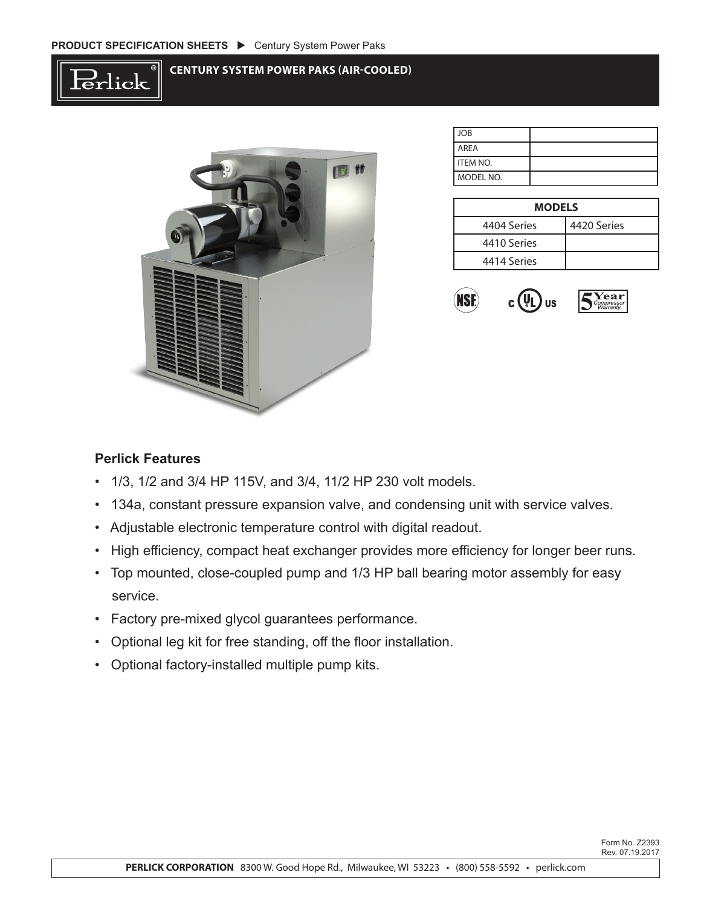



| JOB         |  |
|-------------|--|
| <b>AREA</b> |  |
| I ITEM NO.  |  |
| l MODEL NO. |  |

| <b>MODELS</b> |             |  |  |  |  |  |
|---------------|-------------|--|--|--|--|--|
| 4404 Series   | 4420 Series |  |  |  |  |  |
| 4410 Series   |             |  |  |  |  |  |
| 4414 Series   |             |  |  |  |  |  |



## **Perlick Features**

- 1/3, 1/2 and 3/4 HP 115V, and 3/4, 11/2 HP 230 volt models.
- 134a, constant pressure expansion valve, and condensing unit with service valves.
- Adjustable electronic temperature control with digital readout.
- High efficiency, compact heat exchanger provides more efficiency for longer beer runs.
- Top mounted, close-coupled pump and 1/3 HP ball bearing motor assembly for easy service.
- Factory pre-mixed glycol guarantees performance.
- Optional leg kit for free standing, off the floor installation.
- Optional factory-installed multiple pump kits.